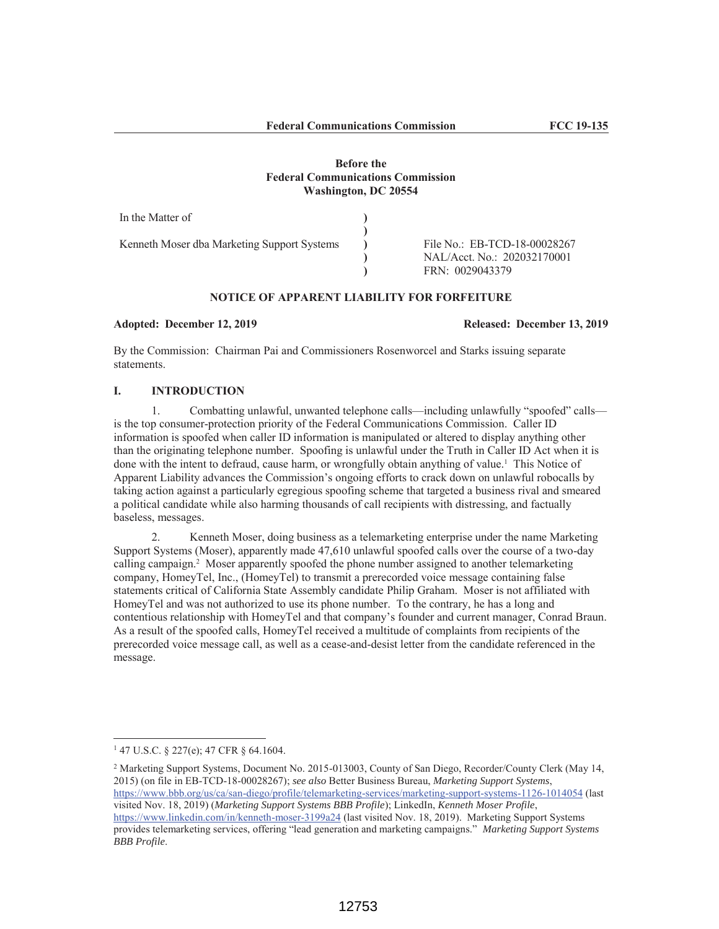# **Before the Federal Communications Commission Washington, DC 20554**

| In the Matter of                            |                              |
|---------------------------------------------|------------------------------|
|                                             |                              |
| Kenneth Moser dba Marketing Support Systems | File No.: EB-TCD-18-00028267 |
|                                             | NAL/Acct. No.: 202032170001  |
|                                             | FRN: 0029043379              |

# **NOTICE OF APPARENT LIABILITY FOR FORFEITURE**

#### **Adopted: December 12, 2019 Released: December 13, 2019**

By the Commission: Chairman Pai and Commissioners Rosenworcel and Starks issuing separate statements.

#### **I. INTRODUCTION**

1. Combatting unlawful, unwanted telephone calls—including unlawfully "spoofed" calls is the top consumer-protection priority of the Federal Communications Commission. Caller ID information is spoofed when caller ID information is manipulated or altered to display anything other than the originating telephone number. Spoofing is unlawful under the Truth in Caller ID Act when it is done with the intent to defraud, cause harm, or wrongfully obtain anything of value.<sup>1</sup> This Notice of Apparent Liability advances the Commission's ongoing efforts to crack down on unlawful robocalls by taking action against a particularly egregious spoofing scheme that targeted a business rival and smeared a political candidate while also harming thousands of call recipients with distressing, and factually baseless, messages.

2. Kenneth Moser, doing business as a telemarketing enterprise under the name Marketing Support Systems (Moser), apparently made 47,610 unlawful spoofed calls over the course of a two-day calling campaign.<sup>2</sup> Moser apparently spoofed the phone number assigned to another telemarketing company, HomeyTel, Inc., (HomeyTel) to transmit a prerecorded voice message containing false statements critical of California State Assembly candidate Philip Graham. Moser is not affiliated with HomeyTel and was not authorized to use its phone number. To the contrary, he has a long and contentious relationship with HomeyTel and that company's founder and current manager, Conrad Braun. As a result of the spoofed calls, HomeyTel received a multitude of complaints from recipients of the prerecorded voice message call, as well as a cease-and-desist letter from the candidate referenced in the message.

<sup>1</sup> 47 U.S.C. § 227(e); 47 CFR § 64.1604.

<sup>2</sup> Marketing Support Systems, Document No. 2015-013003, County of San Diego, Recorder/County Clerk (May 14, 2015) (on file in EB-TCD-18-00028267); *see also* Better Business Bureau, *Marketing Support Systems*, https://www.bbb.org/us/ca/san-diego/profile/telemarketing-services/marketing-support-systems-1126-1014054 (last visited Nov. 18, 2019) (*Marketing Support Systems BBB Profile*); LinkedIn, *Kenneth Moser Profile*, https://www.linkedin.com/in/kenneth-moser-3199a24 (last visited Nov. 18, 2019). Marketing Support Systems provides telemarketing services, offering "lead generation and marketing campaigns." *Marketing Support Systems BBB Profile*.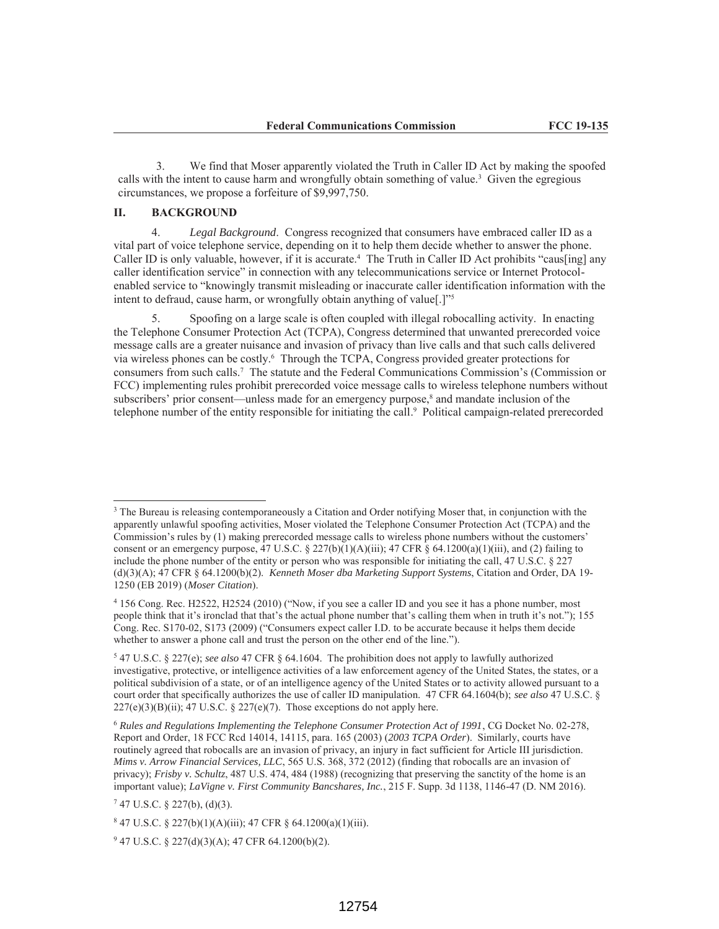3. We find that Moser apparently violated the Truth in Caller ID Act by making the spoofed calls with the intent to cause harm and wrongfully obtain something of value.<sup>3</sup> Given the egregious circumstances, we propose a forfeiture of \$9,997,750.

# **II. BACKGROUND**

 $\overline{a}$ 

4. *Legal Background*. Congress recognized that consumers have embraced caller ID as a vital part of voice telephone service, depending on it to help them decide whether to answer the phone. Caller ID is only valuable, however, if it is accurate.<sup>4</sup> The Truth in Caller ID Act prohibits "caus[ing] any caller identification service" in connection with any telecommunications service or Internet Protocolenabled service to "knowingly transmit misleading or inaccurate caller identification information with the intent to defraud, cause harm, or wrongfully obtain anything of value[.]"<sup>5</sup>

5. Spoofing on a large scale is often coupled with illegal robocalling activity. In enacting the Telephone Consumer Protection Act (TCPA), Congress determined that unwanted prerecorded voice message calls are a greater nuisance and invasion of privacy than live calls and that such calls delivered via wireless phones can be costly.<sup>6</sup> Through the TCPA, Congress provided greater protections for consumers from such calls.7 The statute and the Federal Communications Commission's (Commission or FCC) implementing rules prohibit prerecorded voice message calls to wireless telephone numbers without subscribers' prior consent—unless made for an emergency purpose,<sup>8</sup> and mandate inclusion of the telephone number of the entity responsible for initiating the call.9 Political campaign-related prerecorded

<sup>&</sup>lt;sup>3</sup> The Bureau is releasing contemporaneously a Citation and Order notifying Moser that, in conjunction with the apparently unlawful spoofing activities, Moser violated the Telephone Consumer Protection Act (TCPA) and the Commission's rules by (1) making prerecorded message calls to wireless phone numbers without the customers' consent or an emergency purpose, 47 U.S.C. § 227(b)(1)(A)(iii); 47 CFR § 64.1200(a)(1)(iii), and (2) failing to include the phone number of the entity or person who was responsible for initiating the call, 47 U.S.C. § 227 (d)(3)(A); 47 CFR § 64.1200(b)(2). *Kenneth Moser dba Marketing Support Systems*, Citation and Order, DA 19- 1250 (EB 2019) (*Moser Citation*).

<sup>4</sup> 156 Cong. Rec. H2522, H2524 (2010) ("Now, if you see a caller ID and you see it has a phone number, most people think that it's ironclad that that's the actual phone number that's calling them when in truth it's not."); 155 Cong. Rec. S170-02, S173 (2009) ("Consumers expect caller I.D. to be accurate because it helps them decide whether to answer a phone call and trust the person on the other end of the line.").

<sup>5</sup> 47 U.S.C. § 227(e); *see also* 47 CFR § 64.1604. The prohibition does not apply to lawfully authorized investigative, protective, or intelligence activities of a law enforcement agency of the United States, the states, or a political subdivision of a state, or of an intelligence agency of the United States or to activity allowed pursuant to a court order that specifically authorizes the use of caller ID manipulation. 47 CFR 64.1604(b); *see also* 47 U.S.C. §  $227(e)(3)(B)(ii)$ ; 47 U.S.C. § 227(e)(7). Those exceptions do not apply here.

<sup>6</sup> *Rules and Regulations Implementing the Telephone Consumer Protection Act of 1991*, CG Docket No. 02-278, Report and Order, 18 FCC Rcd 14014, 14115, para. 165 (2003) (*2003 TCPA Order*). Similarly, courts have routinely agreed that robocalls are an invasion of privacy, an injury in fact sufficient for Article III jurisdiction. *Mims v. Arrow Financial Services, LLC*, 565 U.S. 368, 372 (2012) (finding that robocalls are an invasion of privacy); *Frisby v. Schultz*, 487 U.S. 474, 484 (1988) (recognizing that preserving the sanctity of the home is an important value); *LaVigne v. First Community Bancshares, Inc.*, 215 F. Supp. 3d 1138, 1146-47 (D. NM 2016).

 $747$  U.S.C. § 227(b), (d)(3).

 $847$  U.S.C. § 227(b)(1)(A)(iii); 47 CFR § 64.1200(a)(1)(iii).

<sup>9</sup> 47 U.S.C. § 227(d)(3)(A); 47 CFR 64.1200(b)(2).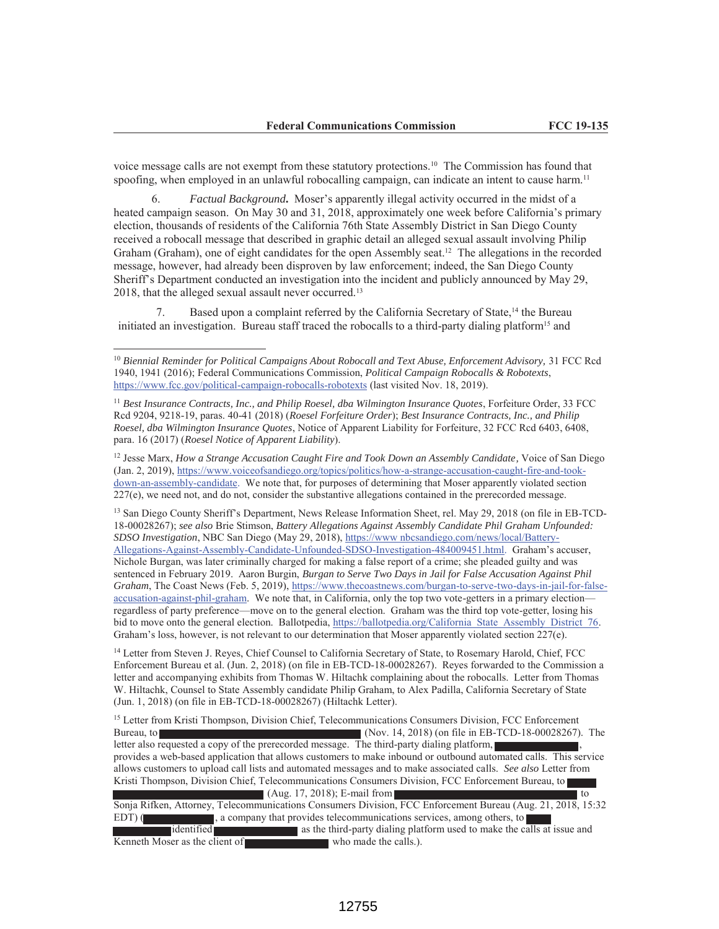voice message calls are not exempt from these statutory protections.10 The Commission has found that spoofing, when employed in an unlawful robocalling campaign, can indicate an intent to cause harm.<sup>11</sup>

6. *Factual Background***.** Moser's apparently illegal activity occurred in the midst of a heated campaign season. On May 30 and 31, 2018, approximately one week before California's primary election, thousands of residents of the California 76th State Assembly District in San Diego County received a robocall message that described in graphic detail an alleged sexual assault involving Philip Graham (Graham), one of eight candidates for the open Assembly seat.12 The allegations in the recorded message, however, had already been disproven by law enforcement; indeed, the San Diego County Sheriff's Department conducted an investigation into the incident and publicly announced by May 29, 2018, that the alleged sexual assault never occurred.<sup>13</sup>

7. Based upon a complaint referred by the California Secretary of State,<sup>14</sup> the Bureau initiated an investigation. Bureau staff traced the robocalls to a third-party dialing platform<sup>15</sup> and

<sup>11</sup> Best Insurance Contracts, Inc., and Philip Roesel, dba Wilmington Insurance Quotes, Forfeiture Order, 33 FCC Rcd 9204, 9218-19, paras. 40-41 (2018) (*Roesel Forfeiture Order*); *Best Insurance Contracts, Inc., and Philip Roesel, dba Wilmington Insurance Quotes*, Notice of Apparent Liability for Forfeiture, 32 FCC Rcd 6403, 6408, para. 16 (2017) (*Roesel Notice of Apparent Liability*).

<sup>12</sup> Jesse Marx, *How a Strange Accusation Caught Fire and Took Down an Assembly Candidate,* Voice of San Diego (Jan. 2, 2019), https://www.voiceofsandiego.org/topics/politics/how-a-strange-accusation-caught-fire-and-tookdown-an-assembly-candidate. We note that, for purposes of determining that Moser apparently violated section 227(e), we need not, and do not, consider the substantive allegations contained in the prerecorded message.

<sup>13</sup> San Diego County Sheriff's Department, News Release Information Sheet, rel. May 29, 2018 (on file in EB-TCD-18-00028267); *see also* Brie Stimson, *Battery Allegations Against Assembly Candidate Phil Graham Unfounded: SDSO Investigation*, NBC San Diego (May 29, 2018), https://www nbcsandiego.com/news/local/Battery-Allegations-Against-Assembly-Candidate-Unfounded-SDSO-Investigation-484009451.html. Graham's accuser, Nichole Burgan, was later criminally charged for making a false report of a crime; she pleaded guilty and was sentenced in February 2019. Aaron Burgin, *Burgan to Serve Two Days in Jail for False Accusation Against Phil Graham*, The Coast News (Feb. 5, 2019), https://www.thecoastnews.com/burgan-to-serve-two-days-in-jail-for-falseaccusation-against-phil-graham. We note that, in California, only the top two vote-getters in a primary election regardless of party preference—move on to the general election. Graham was the third top vote-getter, losing his bid to move onto the general election. Ballotpedia, https://ballotpedia.org/California State Assembly District 76. Graham's loss, however, is not relevant to our determination that Moser apparently violated section 227(e).

<sup>14</sup> Letter from Steven J. Reyes, Chief Counsel to California Secretary of State, to Rosemary Harold, Chief, FCC Enforcement Bureau et al. (Jun. 2, 2018) (on file in EB-TCD-18-00028267). Reyes forwarded to the Commission a letter and accompanying exhibits from Thomas W. Hiltachk complaining about the robocalls. Letter from Thomas W. Hiltachk, Counsel to State Assembly candidate Philip Graham, to Alex Padilla, California Secretary of State (Jun. 1, 2018) (on file in EB-TCD-18-00028267) (Hiltachk Letter).

<sup>15</sup> Letter from Kristi Thompson, Division Chief, Telecommunications Consumers Division, FCC Enforcement Bureau, to (Nov. 14, 2018) (on file in EB-TCD-18-00028267). The letter also requested a copy of the prerecorded message. The third-party dialing platform, provides a web-based application that allows customers to make inbound or outbound automated calls. This service allows customers to upload call lists and automated messages and to make associated calls. *See also* Letter from Kristi Thompson, Division Chief, Telecommunications Consumers Division, FCC Enforcement Bureau, to  $(Aug. 17, 2018)$ ; E-mail from the set of the set of the set of the set of the set of the set of the set of the set of the set of the set of the set of the set of the set of the set of the set of the set of the set of the s Sonja Rifken, Attorney, Telecommunications Consumers Division, FCC Enforcement Bureau (Aug. 21, 2018, 15:32 EDT) ( , a company that provides telecommunications services, among others, to identified as the third-party dialing platform used to make the calls at issue and Kenneth Moser as the client of who made the calls.).

<sup>&</sup>lt;sup>10</sup> Biennial Reminder for Political Campaigns About Robocall and Text Abuse, Enforcement Advisory, 31 FCC Rcd 1940, 1941 (2016); Federal Communications Commission, *Political Campaign Robocalls & Robotexts*, https://www.fcc.gov/political-campaign-robocalls-robotexts (last visited Nov. 18, 2019).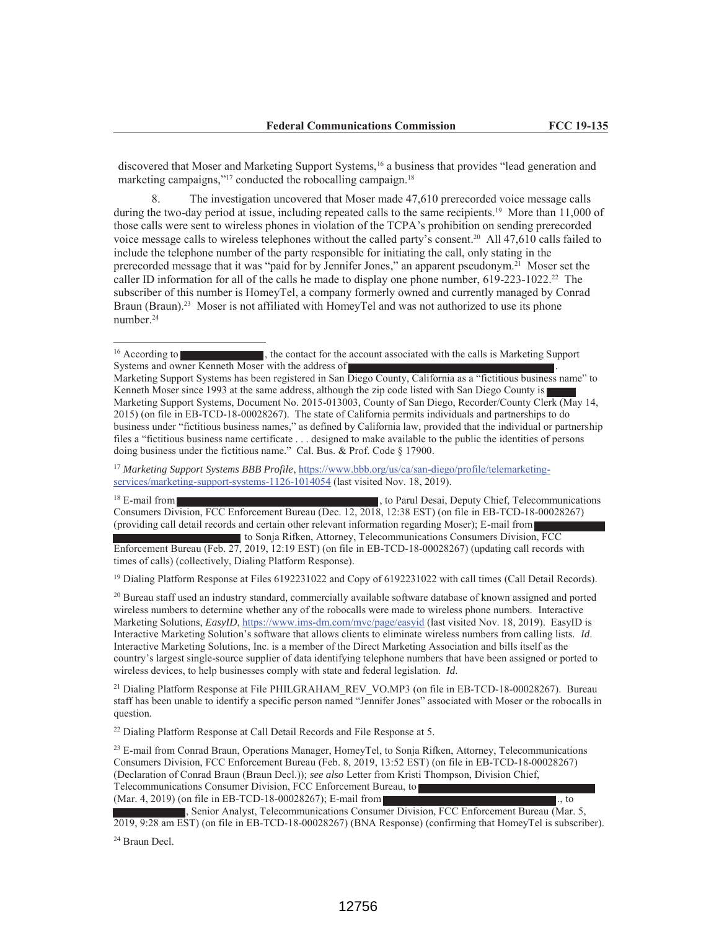discovered that Moser and Marketing Support Systems,<sup>16</sup> a business that provides "lead generation and marketing campaigns,"<sup>17</sup> conducted the robocalling campaign.<sup>18</sup>

8. The investigation uncovered that Moser made 47,610 prerecorded voice message calls during the two-day period at issue, including repeated calls to the same recipients.<sup>19</sup> More than 11,000 of those calls were sent to wireless phones in violation of the TCPA's prohibition on sending prerecorded voice message calls to wireless telephones without the called party's consent. <sup>20</sup> All 47,610 calls failed to include the telephone number of the party responsible for initiating the call, only stating in the prerecorded message that it was "paid for by Jennifer Jones," an apparent pseudonym.<sup>21</sup> Moser set the caller ID information for all of the calls he made to display one phone number, 619-223-1022.<sup>22</sup> The subscriber of this number is HomeyTel, a company formerly owned and currently managed by Conrad Braun (Braun).<sup>23</sup> Moser is not affiliated with HomeyTel and was not authorized to use its phone number.24

<sup>17</sup> *Marketing Support Systems BBB Profile*, https://www.bbb.org/us/ca/san-diego/profile/telemarketingservices/marketing-support-systems-1126-1014054 (last visited Nov. 18, 2019).

<sup>18</sup> E-mail from **the contract of the contract of the contract of the contract of the contract of the contract of the contract of the contract of the contract of the contract of the contract of the contract of the contract** Consumers Division, FCC Enforcement Bureau (Dec. 12, 2018, 12:38 EST) (on file in EB-TCD-18-00028267) (providing call detail records and certain other relevant information regarding Moser); E-mail from

to Sonja Rifken, Attorney, Telecommunications Consumers Division, FCC Enforcement Bureau (Feb. 27, 2019, 12:19 EST) (on file in EB-TCD-18-00028267) (updating call records with times of calls) (collectively, Dialing Platform Response).

<sup>19</sup> Dialing Platform Response at Files 6192231022 and Copy of 6192231022 with call times (Call Detail Records).

<sup>20</sup> Bureau staff used an industry standard, commercially available software database of known assigned and ported wireless numbers to determine whether any of the robocalls were made to wireless phone numbers. Interactive Marketing Solutions, *EasyID*, https://www.ims-dm.com/mvc/page/easyid (last visited Nov. 18, 2019). EasyID is Interactive Marketing Solution's software that allows clients to eliminate wireless numbers from calling lists. *Id*. Interactive Marketing Solutions, Inc. is a member of the Direct Marketing Association and bills itself as the country's largest single-source supplier of data identifying telephone numbers that have been assigned or ported to wireless devices, to help businesses comply with state and federal legislation. *Id*.

<sup>21</sup> Dialing Platform Response at File PHILGRAHAM\_REV\_VO.MP3 (on file in EB-TCD-18-00028267). Bureau staff has been unable to identify a specific person named "Jennifer Jones" associated with Moser or the robocalls in question.

 $22$  Dialing Platform Response at Call Detail Records and File Response at 5.

<sup>23</sup> E-mail from Conrad Braun, Operations Manager, HomeyTel, to Sonja Rifken, Attorney, Telecommunications Consumers Division, FCC Enforcement Bureau (Feb. 8, 2019, 13:52 EST) (on file in EB-TCD-18-00028267) (Declaration of Conrad Braun (Braun Decl.)); *see also* Letter from Kristi Thompson, Division Chief, Telecommunications Consumer Division, FCC Enforcement Bureau, to (Mar. 4, 2019) (on file in EB-TCD-18-00028267); E-mail from ...

, Senior Analyst, Telecommunications Consumer Division, FCC Enforcement Bureau (Mar. 5, 2019, 9:28 am EST) (on file in EB-TCD-18-00028267) (BNA Response) (confirming that HomeyTel is subscriber).

<sup>24</sup> Braun Decl.

<sup>&</sup>lt;sup>16</sup> According to **the contact for the account associated with the calls is Marketing Support** Systems and owner Kenneth Moser with the address of

Marketing Support Systems has been registered in San Diego County, California as a "fictitious business name" to Kenneth Moser since 1993 at the same address, although the zip code listed with San Diego County is Marketing Support Systems, Document No. 2015-013003, County of San Diego, Recorder/County Clerk (May 14, 2015) (on file in EB-TCD-18-00028267). The state of California permits individuals and partnerships to do business under "fictitious business names," as defined by California law, provided that the individual or partnership files a "fictitious business name certificate . . . designed to make available to the public the identities of persons doing business under the fictitious name." Cal. Bus. & Prof. Code § 17900.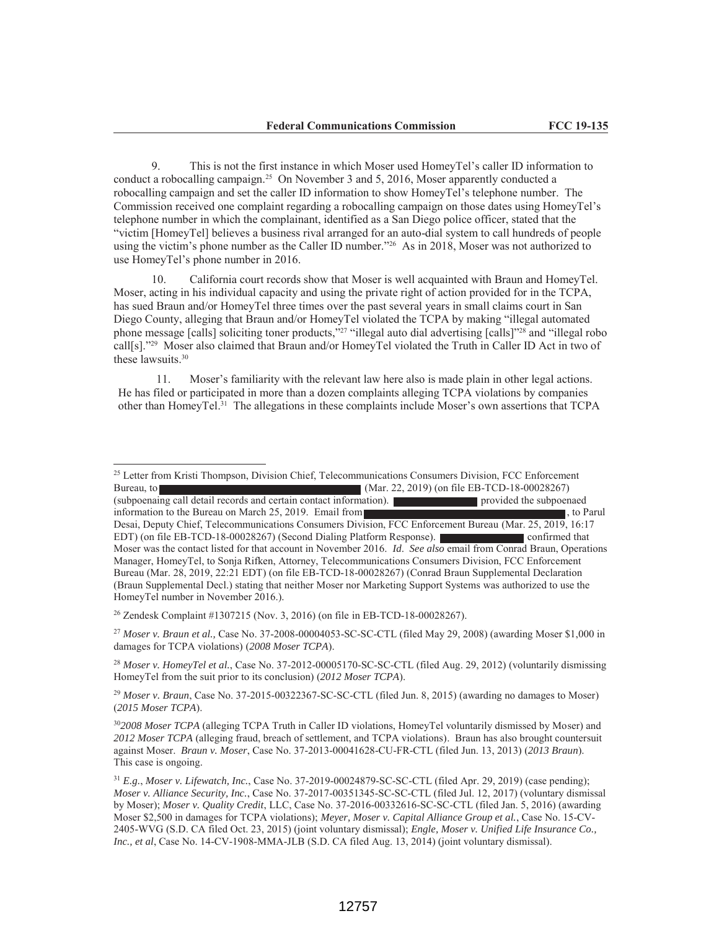9. This is not the first instance in which Moser used HomeyTel's caller ID information to conduct a robocalling campaign.25 On November 3 and 5, 2016, Moser apparently conducted a robocalling campaign and set the caller ID information to show HomeyTel's telephone number. The Commission received one complaint regarding a robocalling campaign on those dates using HomeyTel's telephone number in which the complainant, identified as a San Diego police officer, stated that the "victim [HomeyTel] believes a business rival arranged for an auto-dial system to call hundreds of people using the victim's phone number as the Caller ID number."<sup>26</sup> As in 2018, Moser was not authorized to use HomeyTel's phone number in 2016.

10. California court records show that Moser is well acquainted with Braun and HomeyTel. Moser, acting in his individual capacity and using the private right of action provided for in the TCPA, has sued Braun and/or HomeyTel three times over the past several years in small claims court in San Diego County, alleging that Braun and/or HomeyTel violated the TCPA by making "illegal automated phone message [calls] soliciting toner products,"<sup>27</sup> "illegal auto dial advertising [calls]"<sup>28</sup> and "illegal robo call[s]."<sup>29</sup> Moser also claimed that Braun and/or HomeyTel violated the Truth in Caller ID Act in two of these lawsuits.30

11. Moser's familiarity with the relevant law here also is made plain in other legal actions. He has filed or participated in more than a dozen complaints alleging TCPA violations by companies other than HomeyTel.31 The allegations in these complaints include Moser's own assertions that TCPA

<sup>25</sup> Letter from Kristi Thompson, Division Chief, Telecommunications Consumers Division, FCC Enforcement Bureau, to (Mar. 22, 2019) (on file EB-TCD-18-00028267) (subpoenaing call detail records and certain contact information). provided the subpoenaed information to the Bureau on March 25, 2019. Email from , the contract of the Bureau on March 25, 2019. Email from Desai, Deputy Chief, Telecommunications Consumers Division, FCC Enforcement Bureau (Mar. 25, 2019, 16:17 EDT) (on file EB-TCD-18-00028267) (Second Dialing Platform Response). confirmed that Moser was the contact listed for that account in November 2016. *Id*. *See also* email from Conrad Braun, Operations Manager, HomeyTel, to Sonja Rifken, Attorney, Telecommunications Consumers Division, FCC Enforcement Bureau (Mar. 28, 2019, 22:21 EDT) (on file EB-TCD-18-00028267) (Conrad Braun Supplemental Declaration (Braun Supplemental Decl.) stating that neither Moser nor Marketing Support Systems was authorized to use the HomeyTel number in November 2016.).

<sup>26</sup> Zendesk Complaint #1307215 (Nov. 3, 2016) (on file in EB-TCD-18-00028267).

<sup>27</sup> *Moser v. Braun et al.,* Case No. 37-2008-00004053-SC-SC-CTL (filed May 29, 2008) (awarding Moser \$1,000 in damages for TCPA violations) (*2008 Moser TCPA*).

<sup>28</sup> *Moser v. HomeyTel et al.*, Case No. 37-2012-00005170-SC-SC-CTL (filed Aug. 29, 2012) (voluntarily dismissing HomeyTel from the suit prior to its conclusion) (*2012 Moser TCPA*).

<sup>29</sup> *Moser v. Braun*, Case No. 37-2015-00322367-SC-SC-CTL (filed Jun. 8, 2015) (awarding no damages to Moser) (*2015 Moser TCPA*).

<sup>30</sup>*2008 Moser TCPA* (alleging TCPA Truth in Caller ID violations, HomeyTel voluntarily dismissed by Moser) and *2012 Moser TCPA* (alleging fraud, breach of settlement, and TCPA violations). Braun has also brought countersuit against Moser. *Braun v. Moser*, Case No. 37-2013-00041628-CU-FR-CTL (filed Jun. 13, 2013) (*2013 Braun*). This case is ongoing.

<sup>31</sup> *E.g.*, *Moser v. Lifewatch, Inc.*, Case No. 37-2019-00024879-SC-SC-CTL (filed Apr. 29, 2019) (case pending); *Moser v. Alliance Security, Inc.*, Case No. 37-2017-00351345-SC-SC-CTL (filed Jul. 12, 2017) (voluntary dismissal by Moser); *Moser v. Quality Credit*, LLC, Case No. 37-2016-00332616-SC-SC-CTL (filed Jan. 5, 2016) (awarding Moser \$2,500 in damages for TCPA violations); *Meyer, Moser v. Capital Alliance Group et al.*, Case No. 15-CV-2405-WVG (S.D. CA filed Oct. 23, 2015) (joint voluntary dismissal); *Engle, Moser v. Unified Life Insurance Co., Inc., et al*, Case No. 14-CV-1908-MMA-JLB (S.D. CA filed Aug. 13, 2014) (joint voluntary dismissal).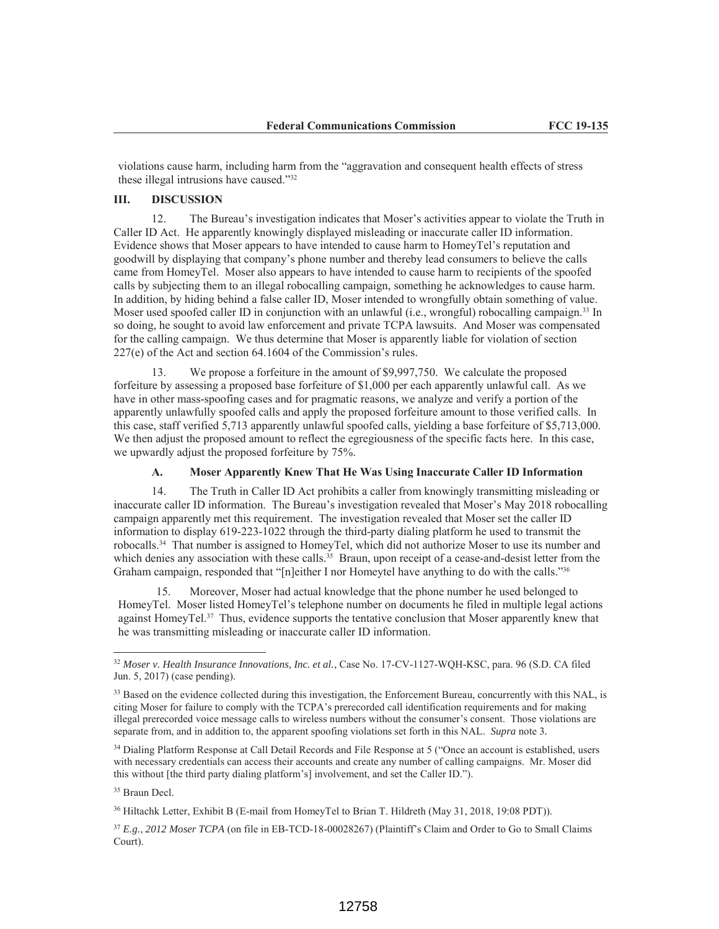violations cause harm, including harm from the "aggravation and consequent health effects of stress these illegal intrusions have caused."32

## **III. DISCUSSION**

12. The Bureau's investigation indicates that Moser's activities appear to violate the Truth in Caller ID Act. He apparently knowingly displayed misleading or inaccurate caller ID information. Evidence shows that Moser appears to have intended to cause harm to HomeyTel's reputation and goodwill by displaying that company's phone number and thereby lead consumers to believe the calls came from HomeyTel. Moser also appears to have intended to cause harm to recipients of the spoofed calls by subjecting them to an illegal robocalling campaign, something he acknowledges to cause harm. In addition, by hiding behind a false caller ID, Moser intended to wrongfully obtain something of value. Moser used spoofed caller ID in conjunction with an unlawful (i.e., wrongful) robocalling campaign.<sup>33</sup> In so doing, he sought to avoid law enforcement and private TCPA lawsuits. And Moser was compensated for the calling campaign. We thus determine that Moser is apparently liable for violation of section 227(e) of the Act and section 64.1604 of the Commission's rules.

13. We propose a forfeiture in the amount of \$9,997,750. We calculate the proposed forfeiture by assessing a proposed base forfeiture of \$1,000 per each apparently unlawful call. As we have in other mass-spoofing cases and for pragmatic reasons, we analyze and verify a portion of the apparently unlawfully spoofed calls and apply the proposed forfeiture amount to those verified calls. In this case, staff verified 5,713 apparently unlawful spoofed calls, yielding a base forfeiture of \$5,713,000. We then adjust the proposed amount to reflect the egregiousness of the specific facts here. In this case, we upwardly adjust the proposed forfeiture by 75%.

## **A. Moser Apparently Knew That He Was Using Inaccurate Caller ID Information**

14. The Truth in Caller ID Act prohibits a caller from knowingly transmitting misleading or inaccurate caller ID information. The Bureau's investigation revealed that Moser's May 2018 robocalling campaign apparently met this requirement. The investigation revealed that Moser set the caller ID information to display 619-223-1022 through the third-party dialing platform he used to transmit the robocalls.34 That number is assigned to HomeyTel, which did not authorize Moser to use its number and which denies any association with these calls.<sup>35</sup> Braun, upon receipt of a cease-and-desist letter from the Graham campaign, responded that "[n]either I nor Homeytel have anything to do with the calls."<sup>36</sup>

15. Moreover, Moser had actual knowledge that the phone number he used belonged to HomeyTel. Moser listed HomeyTel's telephone number on documents he filed in multiple legal actions against HomeyTel.37 Thus, evidence supports the tentative conclusion that Moser apparently knew that he was transmitting misleading or inaccurate caller ID information.

<sup>35</sup> Braun Decl.

 $\overline{a}$ 

36 Hiltachk Letter, Exhibit B (E-mail from HomeyTel to Brian T. Hildreth (May 31, 2018, 19:08 PDT)).

<sup>32</sup> *Moser v. Health Insurance Innovations, Inc. et al.*, Case No. 17-CV-1127-WQH-KSC, para. 96 (S.D. CA filed Jun. 5, 2017) (case pending).

<sup>&</sup>lt;sup>33</sup> Based on the evidence collected during this investigation, the Enforcement Bureau, concurrently with this NAL, is citing Moser for failure to comply with the TCPA's prerecorded call identification requirements and for making illegal prerecorded voice message calls to wireless numbers without the consumer's consent. Those violations are separate from, and in addition to, the apparent spoofing violations set forth in this NAL. *Supra* note 3*.* 

<sup>&</sup>lt;sup>34</sup> Dialing Platform Response at Call Detail Records and File Response at 5 ("Once an account is established, users with necessary credentials can access their accounts and create any number of calling campaigns. Mr. Moser did this without [the third party dialing platform's] involvement, and set the Caller ID.").

<sup>37</sup> *E.g.*, *2012 Moser TCPA* (on file in EB-TCD-18-00028267) (Plaintiff's Claim and Order to Go to Small Claims Court).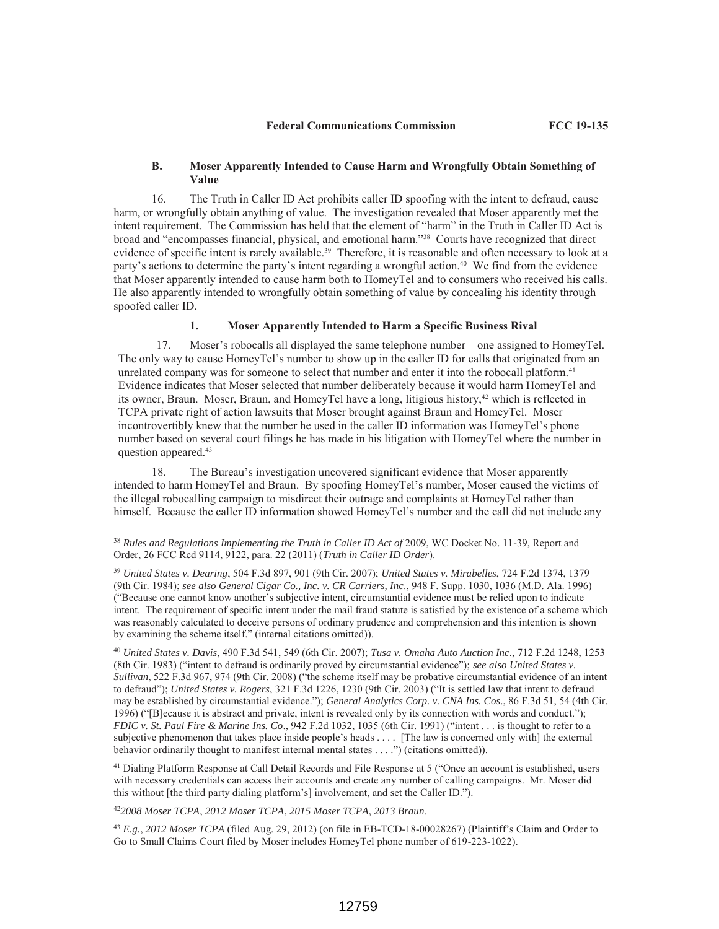#### **B. Moser Apparently Intended to Cause Harm and Wrongfully Obtain Something of Value**

16. The Truth in Caller ID Act prohibits caller ID spoofing with the intent to defraud, cause harm, or wrongfully obtain anything of value. The investigation revealed that Moser apparently met the intent requirement. The Commission has held that the element of "harm" in the Truth in Caller ID Act is broad and "encompasses financial, physical, and emotional harm."38 Courts have recognized that direct evidence of specific intent is rarely available.<sup>39</sup> Therefore, it is reasonable and often necessary to look at a party's actions to determine the party's intent regarding a wrongful action.40 We find from the evidence that Moser apparently intended to cause harm both to HomeyTel and to consumers who received his calls. He also apparently intended to wrongfully obtain something of value by concealing his identity through spoofed caller ID.

### **1. Moser Apparently Intended to Harm a Specific Business Rival**

17. Moser's robocalls all displayed the same telephone number—one assigned to HomeyTel. The only way to cause HomeyTel's number to show up in the caller ID for calls that originated from an unrelated company was for someone to select that number and enter it into the robocall platform.<sup>41</sup> Evidence indicates that Moser selected that number deliberately because it would harm HomeyTel and its owner, Braun. Moser, Braun, and HomeyTel have a long, litigious history,<sup>42</sup> which is reflected in TCPA private right of action lawsuits that Moser brought against Braun and HomeyTel. Moser incontrovertibly knew that the number he used in the caller ID information was HomeyTel's phone number based on several court filings he has made in his litigation with HomeyTel where the number in question appeared.43

18. The Bureau's investigation uncovered significant evidence that Moser apparently intended to harm HomeyTel and Braun. By spoofing HomeyTel's number, Moser caused the victims of the illegal robocalling campaign to misdirect their outrage and complaints at HomeyTel rather than himself. Because the caller ID information showed HomeyTel's number and the call did not include any

<sup>41</sup> Dialing Platform Response at Call Detail Records and File Response at 5 ("Once an account is established, users with necessary credentials can access their accounts and create any number of calling campaigns. Mr. Moser did this without [the third party dialing platform's] involvement, and set the Caller ID.").

<sup>42</sup>*2008 Moser TCPA*, *2012 Moser TCPA*, *2015 Moser TCPA*, *2013 Braun*.

 $\overline{a}$ 

<sup>43</sup> *E.g.*, *2012 Moser TCPA* (filed Aug. 29, 2012) (on file in EB-TCD-18-00028267) (Plaintiff's Claim and Order to Go to Small Claims Court filed by Moser includes HomeyTel phone number of 619-223-1022).

<sup>&</sup>lt;sup>38</sup> Rules and Regulations Implementing the Truth in Caller ID Act of 2009, WC Docket No. 11-39, Report and Order, 26 FCC Rcd 9114, 9122, para. 22 (2011) (*Truth in Caller ID Order*).

<sup>39</sup> *United States v. Dearing*, 504 F.3d 897, 901 (9th Cir. 2007); *United States v. Mirabelles*, 724 F.2d 1374, 1379 (9th Cir. 1984); *see also General Cigar Co., Inc. v. CR Carriers, Inc*., 948 F. Supp. 1030, 1036 (M.D. Ala. 1996) ("Because one cannot know another's subjective intent, circumstantial evidence must be relied upon to indicate intent. The requirement of specific intent under the mail fraud statute is satisfied by the existence of a scheme which was reasonably calculated to deceive persons of ordinary prudence and comprehension and this intention is shown by examining the scheme itself." (internal citations omitted)).

<sup>40</sup> *United States v. Davis*, 490 F.3d 541, 549 (6th Cir. 2007); *Tusa v. Omaha Auto Auction Inc*., 712 F.2d 1248, 1253 (8th Cir. 1983) ("intent to defraud is ordinarily proved by circumstantial evidence"); *see also United States v. Sullivan*, 522 F.3d 967, 974 (9th Cir. 2008) ("the scheme itself may be probative circumstantial evidence of an intent to defraud"); *United States v. Rogers*, 321 F.3d 1226, 1230 (9th Cir. 2003) ("It is settled law that intent to defraud may be established by circumstantial evidence."); *General Analytics Corp. v. CNA Ins. Cos*., 86 F.3d 51, 54 (4th Cir. 1996) ("[B]ecause it is abstract and private, intent is revealed only by its connection with words and conduct."); *FDIC v. St. Paul Fire & Marine Ins. Co*., 942 F.2d 1032, 1035 (6th Cir. 1991) ("intent . . . is thought to refer to a subjective phenomenon that takes place inside people's heads . . . . [The law is concerned only with] the external behavior ordinarily thought to manifest internal mental states . . . .") (citations omitted)).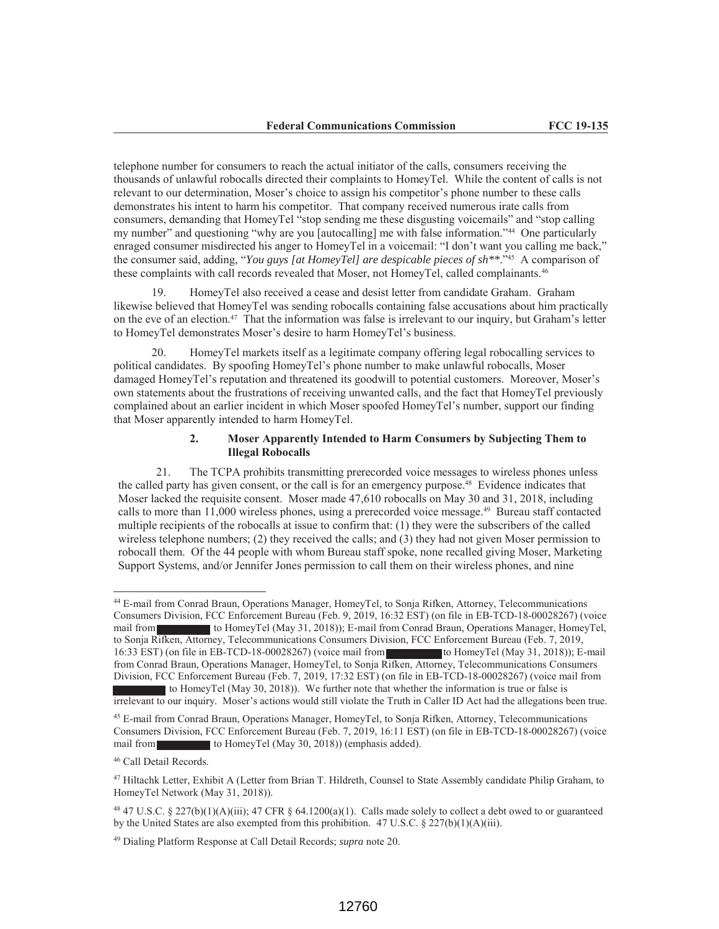telephone number for consumers to reach the actual initiator of the calls, consumers receiving the thousands of unlawful robocalls directed their complaints to HomeyTel. While the content of calls is not relevant to our determination, Moser's choice to assign his competitor's phone number to these calls demonstrates his intent to harm his competitor. That company received numerous irate calls from consumers, demanding that HomeyTel "stop sending me these disgusting voicemails" and "stop calling my number" and questioning "why are you [autocalling] me with false information."<sup>44</sup> One particularly enraged consumer misdirected his anger to HomeyTel in a voicemail: "I don't want you calling me back," the consumer said, adding, "*You guys [at HomeyTel] are despicable pieces of sh\*\**."<sup>45</sup> A comparison of these complaints with call records revealed that Moser, not HomeyTel, called complainants.46

19. HomeyTel also received a cease and desist letter from candidate Graham. Graham likewise believed that HomeyTel was sending robocalls containing false accusations about him practically on the eve of an election.47 That the information was false is irrelevant to our inquiry, but Graham's letter to HomeyTel demonstrates Moser's desire to harm HomeyTel's business.

20. HomeyTel markets itself as a legitimate company offering legal robocalling services to political candidates. By spoofing HomeyTel's phone number to make unlawful robocalls, Moser damaged HomeyTel's reputation and threatened its goodwill to potential customers. Moreover, Moser's own statements about the frustrations of receiving unwanted calls, and the fact that HomeyTel previously complained about an earlier incident in which Moser spoofed HomeyTel's number, support our finding that Moser apparently intended to harm HomeyTel.

# **2. Moser Apparently Intended to Harm Consumers by Subjecting Them to Illegal Robocalls**

21. The TCPA prohibits transmitting prerecorded voice messages to wireless phones unless the called party has given consent, or the call is for an emergency purpose.48 Evidence indicates that Moser lacked the requisite consent. Moser made 47,610 robocalls on May 30 and 31, 2018, including calls to more than 11,000 wireless phones, using a prerecorded voice message.<sup>49</sup> Bureau staff contacted multiple recipients of the robocalls at issue to confirm that: (1) they were the subscribers of the called wireless telephone numbers; (2) they received the calls; and (3) they had not given Moser permission to robocall them. Of the 44 people with whom Bureau staff spoke, none recalled giving Moser, Marketing Support Systems, and/or Jennifer Jones permission to call them on their wireless phones, and nine

<sup>44</sup> E-mail from Conrad Braun, Operations Manager, HomeyTel, to Sonja Rifken, Attorney, Telecommunications Consumers Division, FCC Enforcement Bureau (Feb. 9, 2019, 16:32 EST) (on file in EB-TCD-18-00028267) (voice mail from to HomeyTel (May 31, 2018)); E-mail from Conrad Braun, Operations Manager, HomeyTel, to Sonja Rifken, Attorney, Telecommunications Consumers Division, FCC Enforcement Bureau (Feb. 7, 2019, 16:33 EST) (on file in EB-TCD-18-00028267) (voice mail from to HomeyTel (May 31, 2018)); E-mail from Conrad Braun, Operations Manager, HomeyTel, to Sonja Rifken, Attorney, Telecommunications Consumers Division, FCC Enforcement Bureau (Feb. 7, 2019, 17:32 EST) (on file in EB-TCD-18-00028267) (voice mail from to HomeyTel (May 30, 2018)). We further note that whether the information is true or false is

irrelevant to our inquiry. Moser's actions would still violate the Truth in Caller ID Act had the allegations been true.

<sup>45</sup> E-mail from Conrad Braun, Operations Manager, HomeyTel, to Sonja Rifken, Attorney, Telecommunications Consumers Division, FCC Enforcement Bureau (Feb. 7, 2019, 16:11 EST) (on file in EB-TCD-18-00028267) (voice mail from to HomeyTel (May 30, 2018)) (emphasis added).

<sup>46</sup> Call Detail Records.

<sup>47</sup> Hiltachk Letter, Exhibit A (Letter from Brian T. Hildreth, Counsel to State Assembly candidate Philip Graham, to HomeyTel Network (May 31, 2018)).

<sup>&</sup>lt;sup>48</sup> 47 U.S.C. § 227(b)(1)(A)(iii); 47 CFR § 64.1200(a)(1). Calls made solely to collect a debt owed to or guaranteed by the United States are also exempted from this prohibition.  $47 \text{ U.S.C.} \$   $227(b)(1)(A)(iii)$ .

<sup>49</sup> Dialing Platform Response at Call Detail Records; *supra* note 20.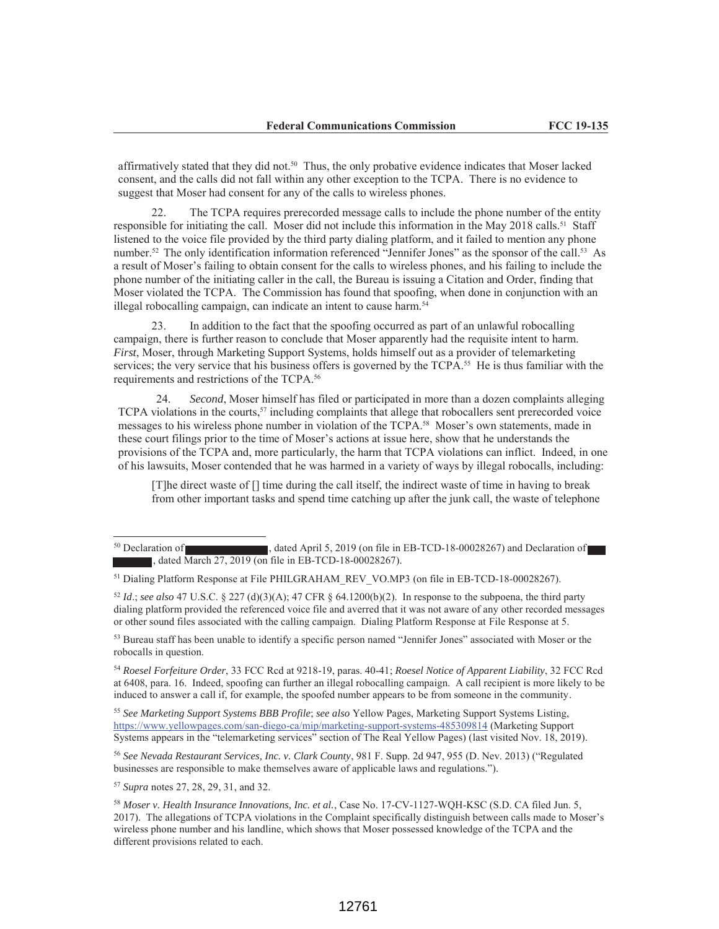affirmatively stated that they did not.50 Thus, the only probative evidence indicates that Moser lacked consent, and the calls did not fall within any other exception to the TCPA. There is no evidence to suggest that Moser had consent for any of the calls to wireless phones.

22. The TCPA requires prerecorded message calls to include the phone number of the entity responsible for initiating the call. Moser did not include this information in the May 2018 calls.<sup>51</sup> Staff listened to the voice file provided by the third party dialing platform, and it failed to mention any phone number.<sup>52</sup> The only identification information referenced "Jennifer Jones" as the sponsor of the call.<sup>53</sup> As a result of Moser's failing to obtain consent for the calls to wireless phones, and his failing to include the phone number of the initiating caller in the call, the Bureau is issuing a Citation and Order, finding that Moser violated the TCPA. The Commission has found that spoofing, when done in conjunction with an illegal robocalling campaign, can indicate an intent to cause harm.<sup>54</sup>

23. In addition to the fact that the spoofing occurred as part of an unlawful robocalling campaign, there is further reason to conclude that Moser apparently had the requisite intent to harm. *First*, Moser, through Marketing Support Systems, holds himself out as a provider of telemarketing services; the very service that his business offers is governed by the TCPA.<sup>55</sup> He is thus familiar with the requirements and restrictions of the TCPA.56

24. *Second*, Moser himself has filed or participated in more than a dozen complaints alleging TCPA violations in the courts,  $57$  including complaints that allege that robocallers sent prerecorded voice messages to his wireless phone number in violation of the TCPA.58 Moser's own statements, made in these court filings prior to the time of Moser's actions at issue here, show that he understands the provisions of the TCPA and, more particularly, the harm that TCPA violations can inflict. Indeed, in one of his lawsuits, Moser contended that he was harmed in a variety of ways by illegal robocalls, including:

[T]he direct waste of [] time during the call itself, the indirect waste of time in having to break from other important tasks and spend time catching up after the junk call, the waste of telephone

<sup>53</sup> Bureau staff has been unable to identify a specific person named "Jennifer Jones" associated with Moser or the robocalls in question.

<sup>54</sup> *Roesel Forfeiture Order*, 33 FCC Rcd at 9218-19, paras. 40-41; *Roesel Notice of Apparent Liability*, 32 FCC Rcd at 6408, para. 16. Indeed, spoofing can further an illegal robocalling campaign. A call recipient is more likely to be induced to answer a call if, for example, the spoofed number appears to be from someone in the community.

<sup>55</sup> *See Marketing Support Systems BBB Profile*; *see also* Yellow Pages, Marketing Support Systems Listing, https://www.yellowpages.com/san-diego-ca/mip/marketing-support-systems-485309814 (Marketing Support Systems appears in the "telemarketing services" section of The Real Yellow Pages) (last visited Nov. 18, 2019).

<sup>56</sup> *See Nevada Restaurant Services, Inc. v. Clark County*, 981 F. Supp. 2d 947, 955 (D. Nev. 2013) ("Regulated businesses are responsible to make themselves aware of applicable laws and regulations.").

<sup>57</sup> *Supra* notes 27, 28, 29, 31, and 32.

<sup>&</sup>lt;sup>50</sup> Declaration of , dated April 5, 2019 (on file in EB-TCD-18-00028267) and Declaration of , dated March 27, 2019 (on file in EB-TCD-18-00028267).

<sup>&</sup>lt;sup>51</sup> Dialing Platform Response at File PHILGRAHAM\_REV\_VO.MP3 (on file in EB-TCD-18-00028267).

 $52$  *Id.*; *see also* 47 U.S.C. § 227 (d)(3)(A); 47 CFR § 64.1200(b)(2). In response to the subpoena, the third party dialing platform provided the referenced voice file and averred that it was not aware of any other recorded messages or other sound files associated with the calling campaign. Dialing Platform Response at File Response at 5.

<sup>58</sup> *Moser v. Health Insurance Innovations, Inc. et al.*, Case No. 17-CV-1127-WQH-KSC (S.D. CA filed Jun. 5, 2017). The allegations of TCPA violations in the Complaint specifically distinguish between calls made to Moser's wireless phone number and his landline, which shows that Moser possessed knowledge of the TCPA and the different provisions related to each.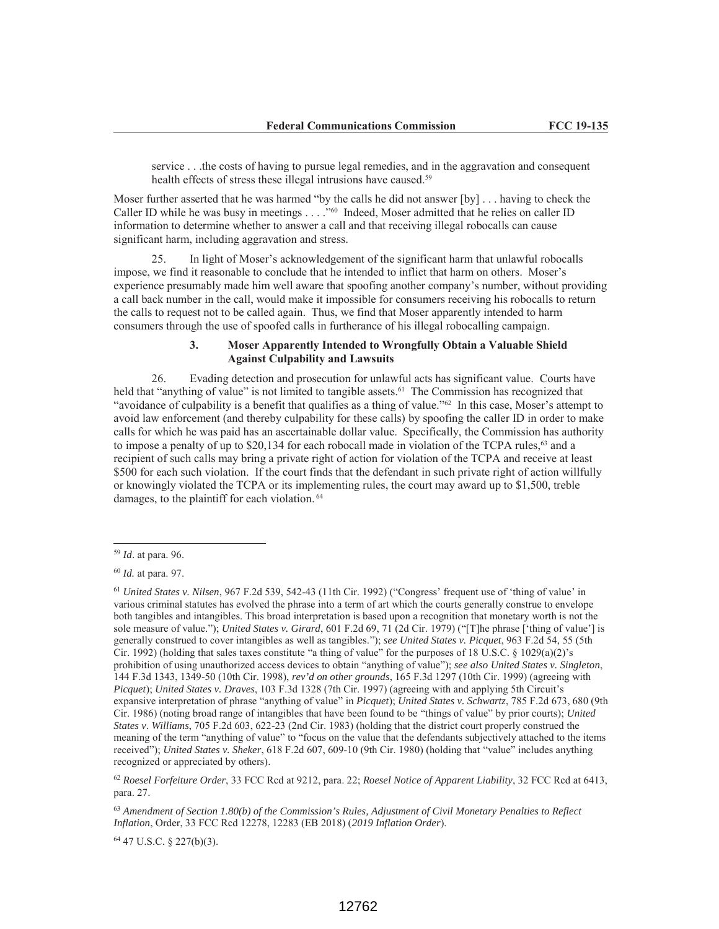service . . .the costs of having to pursue legal remedies, and in the aggravation and consequent health effects of stress these illegal intrusions have caused.<sup>59</sup>

Moser further asserted that he was harmed "by the calls he did not answer [by] . . . having to check the Caller ID while he was busy in meetings . . . ."60 Indeed, Moser admitted that he relies on caller ID information to determine whether to answer a call and that receiving illegal robocalls can cause significant harm, including aggravation and stress.

25. In light of Moser's acknowledgement of the significant harm that unlawful robocalls impose, we find it reasonable to conclude that he intended to inflict that harm on others. Moser's experience presumably made him well aware that spoofing another company's number, without providing a call back number in the call, would make it impossible for consumers receiving his robocalls to return the calls to request not to be called again. Thus, we find that Moser apparently intended to harm consumers through the use of spoofed calls in furtherance of his illegal robocalling campaign.

## **3. Moser Apparently Intended to Wrongfully Obtain a Valuable Shield Against Culpability and Lawsuits**

26. Evading detection and prosecution for unlawful acts has significant value. Courts have held that "anything of value" is not limited to tangible assets.<sup>61</sup> The Commission has recognized that "avoidance of culpability is a benefit that qualifies as a thing of value."62 In this case, Moser's attempt to avoid law enforcement (and thereby culpability for these calls) by spoofing the caller ID in order to make calls for which he was paid has an ascertainable dollar value. Specifically, the Commission has authority to impose a penalty of up to  $$20,134$  for each robocall made in violation of the TCPA rules,<sup>63</sup> and a recipient of such calls may bring a private right of action for violation of the TCPA and receive at least \$500 for each such violation. If the court finds that the defendant in such private right of action willfully or knowingly violated the TCPA or its implementing rules, the court may award up to \$1,500, treble damages, to the plaintiff for each violation. 64

 $\overline{a}$ 

<sup>62</sup> *Roesel Forfeiture Order*, 33 FCC Rcd at 9212, para. 22; *Roesel Notice of Apparent Liability*, 32 FCC Rcd at 6413, para. 27.

<sup>63</sup> *Amendment of Section 1.80(b) of the Commission's Rules, Adjustment of Civil Monetary Penalties to Reflect Inflation*, Order, 33 FCC Rcd 12278, 12283 (EB 2018) (*2019 Inflation Order*).

64 47 U.S.C. § 227(b)(3).

<sup>59</sup> *Id*. at para. 96.

<sup>60</sup> *Id.* at para. 97.

<sup>61</sup> *United States v. Nilsen*, 967 F.2d 539, 542-43 (11th Cir. 1992) ("Congress' frequent use of 'thing of value' in various criminal statutes has evolved the phrase into a term of art which the courts generally construe to envelope both tangibles and intangibles. This broad interpretation is based upon a recognition that monetary worth is not the sole measure of value."); *United States v. Girard*, 601 F.2d 69, 71 (2d Cir. 1979) ("[T]he phrase ['thing of value'] is generally construed to cover intangibles as well as tangibles."); *see United States v. Picquet*, 963 F.2d 54, 55 (5th Cir. 1992) (holding that sales taxes constitute "a thing of value" for the purposes of 18 U.S.C. § 1029(a)(2)'s prohibition of using unauthorized access devices to obtain "anything of value"); *see also United States v. Singleton*, 144 F.3d 1343, 1349-50 (10th Cir. 1998), *rev'd on other grounds*, 165 F.3d 1297 (10th Cir. 1999) (agreeing with *Picquet*); *United States v. Draves*, 103 F.3d 1328 (7th Cir. 1997) (agreeing with and applying 5th Circuit's expansive interpretation of phrase "anything of value" in *Picquet*); *United States v. Schwartz*, 785 F.2d 673, 680 (9th Cir. 1986) (noting broad range of intangibles that have been found to be "things of value" by prior courts); *United States v*. *Williams*, 705 F.2d 603, 622-23 (2nd Cir. 1983) (holding that the district court properly construed the meaning of the term "anything of value" to "focus on the value that the defendants subjectively attached to the items received"); *United States v. Sheker*, 618 F.2d 607, 609-10 (9th Cir. 1980) (holding that "value" includes anything recognized or appreciated by others).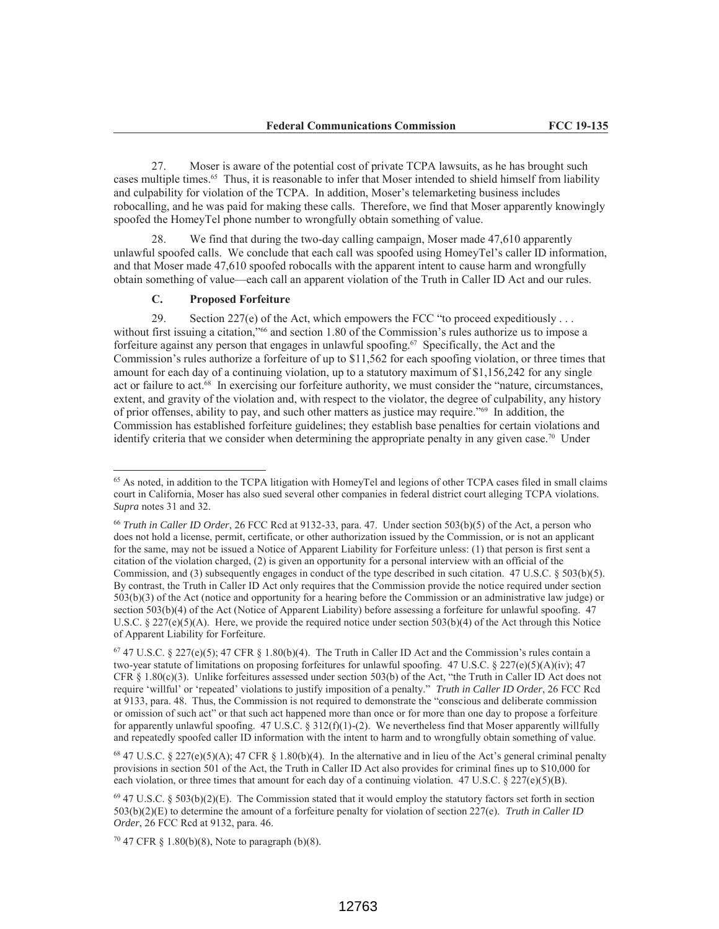27. Moser is aware of the potential cost of private TCPA lawsuits, as he has brought such cases multiple times.<sup>65</sup> Thus, it is reasonable to infer that Moser intended to shield himself from liability and culpability for violation of the TCPA. In addition, Moser's telemarketing business includes robocalling, and he was paid for making these calls. Therefore, we find that Moser apparently knowingly spoofed the HomeyTel phone number to wrongfully obtain something of value.

28. We find that during the two-day calling campaign, Moser made 47,610 apparently unlawful spoofed calls. We conclude that each call was spoofed using HomeyTel's caller ID information, and that Moser made 47,610 spoofed robocalls with the apparent intent to cause harm and wrongfully obtain something of value—each call an apparent violation of the Truth in Caller ID Act and our rules.

#### **C. Proposed Forfeiture**

 $\overline{a}$ 

29. Section 227(e) of the Act, which empowers the FCC "to proceed expeditiously .  $\ldots$ without first issuing a citation,"<sup>66</sup> and section 1.80 of the Commission's rules authorize us to impose a forfeiture against any person that engages in unlawful spoofing. 67 Specifically, the Act and the Commission's rules authorize a forfeiture of up to \$11,562 for each spoofing violation, or three times that amount for each day of a continuing violation, up to a statutory maximum of \$1,156,242 for any single act or failure to act.68 In exercising our forfeiture authority, we must consider the "nature, circumstances, extent, and gravity of the violation and, with respect to the violator, the degree of culpability, any history of prior offenses, ability to pay, and such other matters as justice may require."69 In addition, the Commission has established forfeiture guidelines; they establish base penalties for certain violations and identify criteria that we consider when determining the appropriate penalty in any given case.70 Under

<sup>68</sup> 47 U.S.C. § 227(e)(5)(A); 47 CFR § 1.80(b)(4). In the alternative and in lieu of the Act's general criminal penalty provisions in section 501 of the Act, the Truth in Caller ID Act also provides for criminal fines up to \$10,000 for each violation, or three times that amount for each day of a continuing violation. 47 U.S.C.  $\S 227(e)(5)(B)$ .

 $70$  47 CFR § 1.80(b)(8), Note to paragraph (b)(8).

<sup>&</sup>lt;sup>65</sup> As noted, in addition to the TCPA litigation with HomeyTel and legions of other TCPA cases filed in small claims court in California, Moser has also sued several other companies in federal district court alleging TCPA violations. *Supra* notes 31 and 32.

<sup>66</sup> *Truth in Caller ID Order*, 26 FCC Rcd at 9132-33, para. 47. Under section 503(b)(5) of the Act, a person who does not hold a license, permit, certificate, or other authorization issued by the Commission, or is not an applicant for the same, may not be issued a Notice of Apparent Liability for Forfeiture unless: (1) that person is first sent a citation of the violation charged, (2) is given an opportunity for a personal interview with an official of the Commission, and (3) subsequently engages in conduct of the type described in such citation. 47 U.S.C. § 503(b)(5). By contrast, the Truth in Caller ID Act only requires that the Commission provide the notice required under section 503(b)(3) of the Act (notice and opportunity for a hearing before the Commission or an administrative law judge) or section 503(b)(4) of the Act (Notice of Apparent Liability) before assessing a forfeiture for unlawful spoofing. 47 U.S.C. § 227(e)(5)(A). Here, we provide the required notice under section 503(b)(4) of the Act through this Notice of Apparent Liability for Forfeiture.

<sup>&</sup>lt;sup>67</sup> 47 U.S.C. § 227(e)(5); 47 CFR § 1.80(b)(4). The Truth in Caller ID Act and the Commission's rules contain a two-year statute of limitations on proposing forfeitures for unlawful spoofing. 47 U.S.C. § 227(e)(5)(A)(iv); 47 CFR  $\S$  1.80(c)(3). Unlike forfeitures assessed under section 503(b) of the Act, "the Truth in Caller ID Act does not require 'willful' or 'repeated' violations to justify imposition of a penalty." *Truth in Caller ID Order*, 26 FCC Rcd at 9133, para. 48. Thus, the Commission is not required to demonstrate the "conscious and deliberate commission or omission of such act" or that such act happened more than once or for more than one day to propose a forfeiture for apparently unlawful spoofing.  $47$  U.S.C. §  $312(f)(1)-(2)$ . We nevertheless find that Moser apparently willfully and repeatedly spoofed caller ID information with the intent to harm and to wrongfully obtain something of value.

 $69$  47 U.S.C. § 503(b)(2)(E). The Commission stated that it would employ the statutory factors set forth in section 503(b)(2)(E) to determine the amount of a forfeiture penalty for violation of section 227(e). *Truth in Caller ID Order*, 26 FCC Rcd at 9132, para. 46.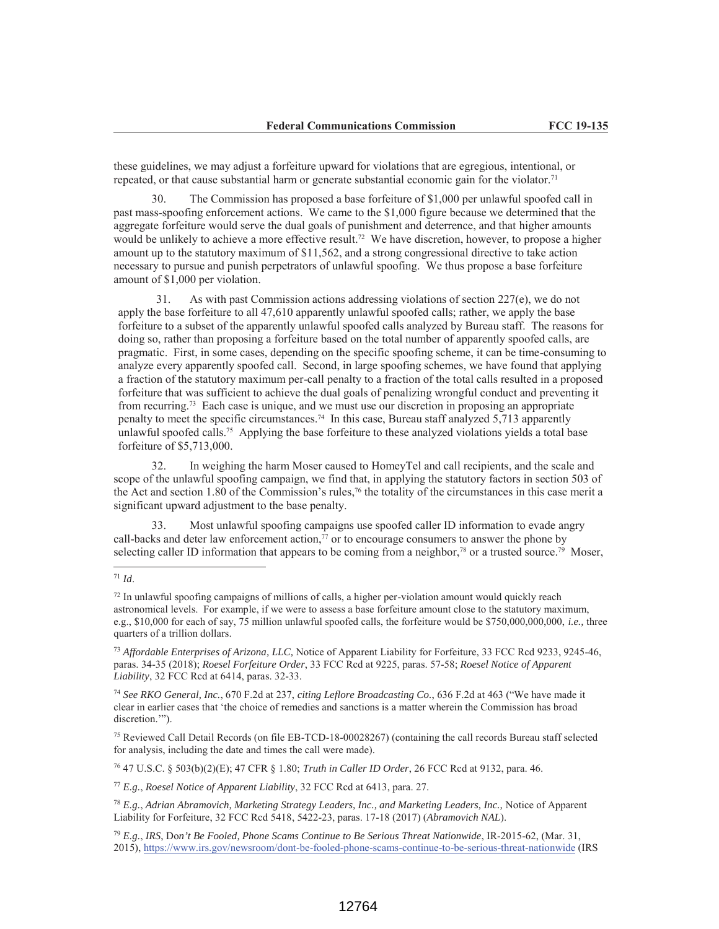these guidelines, we may adjust a forfeiture upward for violations that are egregious, intentional, or repeated, or that cause substantial harm or generate substantial economic gain for the violator.<sup>71</sup>

30. The Commission has proposed a base forfeiture of \$1,000 per unlawful spoofed call in past mass-spoofing enforcement actions. We came to the \$1,000 figure because we determined that the aggregate forfeiture would serve the dual goals of punishment and deterrence, and that higher amounts would be unlikely to achieve a more effective result.<sup>72</sup> We have discretion, however, to propose a higher amount up to the statutory maximum of \$11,562, and a strong congressional directive to take action necessary to pursue and punish perpetrators of unlawful spoofing. We thus propose a base forfeiture amount of \$1,000 per violation.

31. As with past Commission actions addressing violations of section  $227(e)$ , we do not apply the base forfeiture to all 47,610 apparently unlawful spoofed calls; rather, we apply the base forfeiture to a subset of the apparently unlawful spoofed calls analyzed by Bureau staff. The reasons for doing so, rather than proposing a forfeiture based on the total number of apparently spoofed calls, are pragmatic. First, in some cases, depending on the specific spoofing scheme, it can be time-consuming to analyze every apparently spoofed call. Second, in large spoofing schemes, we have found that applying a fraction of the statutory maximum per-call penalty to a fraction of the total calls resulted in a proposed forfeiture that was sufficient to achieve the dual goals of penalizing wrongful conduct and preventing it from recurring.73 Each case is unique, and we must use our discretion in proposing an appropriate penalty to meet the specific circumstances.74 In this case, Bureau staff analyzed 5,713 apparently unlawful spoofed calls.<sup>75</sup> Applying the base forfeiture to these analyzed violations yields a total base forfeiture of \$5,713,000.

32. In weighing the harm Moser caused to HomeyTel and call recipients, and the scale and scope of the unlawful spoofing campaign, we find that, in applying the statutory factors in section 503 of the Act and section 1.80 of the Commission's rules,<sup>76</sup> the totality of the circumstances in this case merit a significant upward adjustment to the base penalty.

33. Most unlawful spoofing campaigns use spoofed caller ID information to evade angry call-backs and deter law enforcement action, $77$  or to encourage consumers to answer the phone by selecting caller ID information that appears to be coming from a neighbor,<sup>78</sup> or a trusted source.<sup>79</sup> Moser,

<sup>74</sup> *See RKO General, Inc.*, 670 F.2d at 237, *citing Leflore Broadcasting Co.*, 636 F.2d at 463 ("We have made it clear in earlier cases that 'the choice of remedies and sanctions is a matter wherein the Commission has broad discretion."").

75 Reviewed Call Detail Records (on file EB-TCD-18-00028267) (containing the call records Bureau staff selected for analysis, including the date and times the call were made).

76 47 U.S.C. § 503(b)(2)(E); 47 CFR § 1.80; *Truth in Caller ID Order*, 26 FCC Rcd at 9132, para. 46.

<sup>77</sup> *E.g.*, *Roesel Notice of Apparent Liability*, 32 FCC Rcd at 6413, para. 27.

<sup>78</sup> *E.g.*, *Adrian Abramovich, Marketing Strategy Leaders, Inc., and Marketing Leaders, Inc.,* Notice of Apparent Liability for Forfeiture, 32 FCC Rcd 5418, 5422-23, paras. 17-18 (2017) (*Abramovich NAL*).

 $\overline{a}$ <sup>71</sup> *Id*.

 $<sup>72</sup>$  In unlawful spoofing campaigns of millions of calls, a higher per-violation amount would quickly reach</sup> astronomical levels. For example, if we were to assess a base forfeiture amount close to the statutory maximum, e.g., \$10,000 for each of say, 75 million unlawful spoofed calls, the forfeiture would be \$750,000,000,000, *i.e.,* three quarters of a trillion dollars.

<sup>73</sup> *Affordable Enterprises of Arizona, LLC,* Notice of Apparent Liability for Forfeiture, 33 FCC Rcd 9233, 9245-46, paras. 34-35 (2018); *Roesel Forfeiture Order*, 33 FCC Rcd at 9225, paras. 57-58; *Roesel Notice of Apparent Liability*, 32 FCC Rcd at 6414, paras. 32-33.

<sup>79</sup> *E.g.*, *IRS*, Do*n't Be Fooled, Phone Scams Continue to Be Serious Threat Nationwide*, IR-2015-62, (Mar. 31, 2015), https://www.irs.gov/newsroom/dont-be-fooled-phone-scams-continue-to-be-serious-threat-nationwide (IRS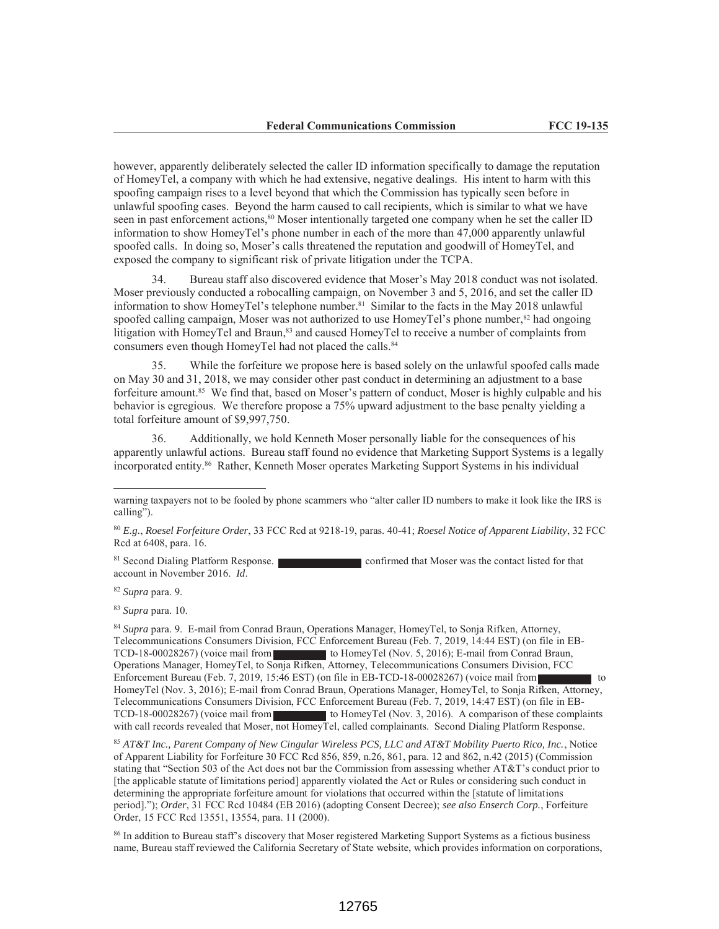however, apparently deliberately selected the caller ID information specifically to damage the reputation of HomeyTel, a company with which he had extensive, negative dealings. His intent to harm with this spoofing campaign rises to a level beyond that which the Commission has typically seen before in unlawful spoofing cases. Beyond the harm caused to call recipients, which is similar to what we have seen in past enforcement actions,<sup>80</sup> Moser intentionally targeted one company when he set the caller ID information to show HomeyTel's phone number in each of the more than 47,000 apparently unlawful spoofed calls. In doing so, Moser's calls threatened the reputation and goodwill of HomeyTel, and exposed the company to significant risk of private litigation under the TCPA.

34. Bureau staff also discovered evidence that Moser's May 2018 conduct was not isolated. Moser previously conducted a robocalling campaign, on November 3 and 5, 2016, and set the caller ID information to show HomeyTel's telephone number.<sup>81</sup> Similar to the facts in the May 2018 unlawful spoofed calling campaign, Moser was not authorized to use HomeyTel's phone number, $82$  had ongoing litigation with HomeyTel and Braun,<sup>83</sup> and caused HomeyTel to receive a number of complaints from consumers even though HomeyTel had not placed the calls.<sup>84</sup>

35. While the forfeiture we propose here is based solely on the unlawful spoofed calls made on May 30 and 31, 2018, we may consider other past conduct in determining an adjustment to a base forfeiture amount.<sup>85</sup> We find that, based on Moser's pattern of conduct, Moser is highly culpable and his behavior is egregious. We therefore propose a 75% upward adjustment to the base penalty yielding a total forfeiture amount of \$9,997,750.

36. Additionally, we hold Kenneth Moser personally liable for the consequences of his apparently unlawful actions. Bureau staff found no evidence that Marketing Support Systems is a legally incorporated entity.86 Rather, Kenneth Moser operates Marketing Support Systems in his individual

81 Second Dialing Platform Response. confirmed that Moser was the contact listed for that account in November 2016. *Id*.

<sup>82</sup> *Supra* para. 9.

<sup>83</sup> *Supra* para. 10.

<sup>84</sup> *Supra* para. 9. E-mail from Conrad Braun, Operations Manager, HomeyTel, to Sonja Rifken, Attorney, Telecommunications Consumers Division, FCC Enforcement Bureau (Feb. 7, 2019, 14:44 EST) (on file in EB-TCD-18-00028267) (voice mail from to HomeyTel (Nov. 5, 2016); E-mail from Conrad Braun, Operations Manager, HomeyTel, to Sonja Rifken, Attorney, Telecommunications Consumers Division, FCC Enforcement Bureau (Feb. 7, 2019, 15:46 EST) (on file in EB-TCD-18-00028267) (voice mail from to HomeyTel (Nov. 3, 2016); E-mail from Conrad Braun, Operations Manager, HomeyTel, to Sonja Rifken, Attorney, Telecommunications Consumers Division, FCC Enforcement Bureau (Feb. 7, 2019, 14:47 EST) (on file in EB-TCD-18-00028267) (voice mail from to HomeyTel (Nov. 3, 2016). A comparison of these complaints with call records revealed that Moser, not HomeyTel, called complainants. Second Dialing Platform Response.

<sup>85</sup> *AT&T Inc., Parent Company of New Cingular Wireless PCS, LLC and AT&T Mobility Puerto Rico, Inc.*, Notice of Apparent Liability for Forfeiture 30 FCC Rcd 856, 859, n.26, 861, para. 12 and 862, n.42 (2015) (Commission stating that "Section 503 of the Act does not bar the Commission from assessing whether AT&T's conduct prior to [the applicable statute of limitations period] apparently violated the Act or Rules or considering such conduct in determining the appropriate forfeiture amount for violations that occurred within the [statute of limitations period]."); *Order*, 31 FCC Rcd 10484 (EB 2016) (adopting Consent Decree); *see also Enserch Corp.*, Forfeiture Order, 15 FCC Rcd 13551, 13554, para. 11 (2000).

<sup>86</sup> In addition to Bureau staff's discovery that Moser registered Marketing Support Systems as a fictious business name, Bureau staff reviewed the California Secretary of State website, which provides information on corporations,

warning taxpayers not to be fooled by phone scammers who "alter caller ID numbers to make it look like the IRS is calling").

<sup>80</sup> *E.g.*, *Roesel Forfeiture Order*, 33 FCC Rcd at 9218-19, paras. 40-41; *Roesel Notice of Apparent Liability*, 32 FCC Rcd at 6408, para. 16.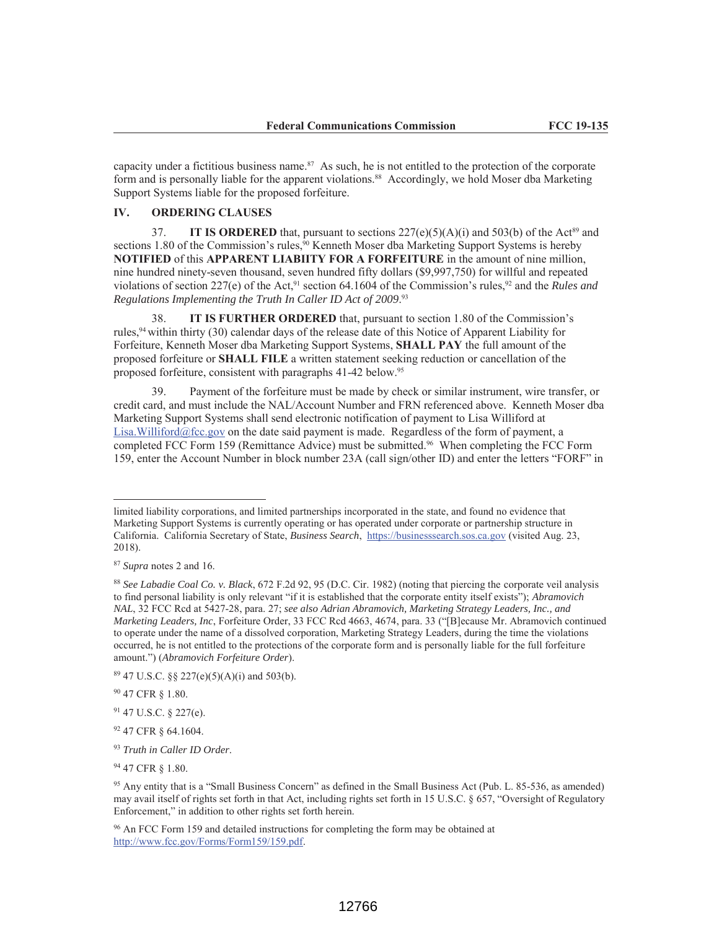capacity under a fictitious business name.<sup>87</sup> As such, he is not entitled to the protection of the corporate form and is personally liable for the apparent violations.<sup>88</sup> Accordingly, we hold Moser dba Marketing Support Systems liable for the proposed forfeiture.

# **IV. ORDERING CLAUSES**

37. **IT IS ORDERED** that, pursuant to sections  $227(e)(5)(A)(i)$  and  $503(b)$  of the Act<sup>89</sup> and sections 1.80 of the Commission's rules, $90$  Kenneth Moser dba Marketing Support Systems is hereby **NOTIFIED** of this **APPARENT LIABIITY FOR A FORFEITURE** in the amount of nine million, nine hundred ninety-seven thousand, seven hundred fifty dollars (\$9,997,750) for willful and repeated violations of section 227(e) of the Act,<sup>91</sup> section 64.1604 of the Commission's rules,<sup>92</sup> and the *Rules and Regulations Implementing the Truth In Caller ID Act of 2009*. 93

38. **IT IS FURTHER ORDERED** that, pursuant to section 1.80 of the Commission's rules,94 within thirty (30) calendar days of the release date of this Notice of Apparent Liability for Forfeiture, Kenneth Moser dba Marketing Support Systems, **SHALL PAY** the full amount of the proposed forfeiture or **SHALL FILE** a written statement seeking reduction or cancellation of the proposed forfeiture, consistent with paragraphs 41-42 below.95

39. Payment of the forfeiture must be made by check or similar instrument, wire transfer, or credit card, and must include the NAL/Account Number and FRN referenced above. Kenneth Moser dba Marketing Support Systems shall send electronic notification of payment to Lisa Williford at Lisa.Williford@fcc.gov on the date said payment is made. Regardless of the form of payment, a completed FCC Form 159 (Remittance Advice) must be submitted.<sup>96</sup> When completing the FCC Form 159, enter the Account Number in block number 23A (call sign/other ID) and enter the letters "FORF" in

 $\overline{a}$ 

limited liability corporations, and limited partnerships incorporated in the state, and found no evidence that Marketing Support Systems is currently operating or has operated under corporate or partnership structure in California. California Secretary of State, *Business Search*, https://businesssearch.sos.ca.gov (visited Aug. 23, 2018).

<sup>87</sup> *Supra* notes 2 and 16.

<sup>88</sup> *See Labadie Coal Co. v. Black*, 672 F.2d 92, 95 (D.C. Cir. 1982) (noting that piercing the corporate veil analysis to find personal liability is only relevant "if it is established that the corporate entity itself exists"); *Abramovich NAL*, 32 FCC Rcd at 5427-28, para. 27; *see also Adrian Abramovich, Marketing Strategy Leaders, Inc., and Marketing Leaders, Inc*, Forfeiture Order, 33 FCC Rcd 4663, 4674, para. 33 ("[B]ecause Mr. Abramovich continued to operate under the name of a dissolved corporation, Marketing Strategy Leaders, during the time the violations occurred, he is not entitled to the protections of the corporate form and is personally liable for the full forfeiture amount.") (*Abramovich Forfeiture Order*).

 $89$  47 U.S.C.  $\S$  227(e)(5)(A)(i) and 503(b).

<sup>90 47</sup> CFR § 1.80.

<sup>91 47</sup> U.S.C. § 227(e).

<sup>92 47</sup> CFR § 64.1604.

<sup>93</sup> *Truth in Caller ID Order*.

<sup>94 47</sup> CFR § 1.80.

<sup>95</sup> Any entity that is a "Small Business Concern" as defined in the Small Business Act (Pub. L. 85-536, as amended) may avail itself of rights set forth in that Act, including rights set forth in 15 U.S.C. § 657, "Oversight of Regulatory Enforcement," in addition to other rights set forth herein.

<sup>&</sup>lt;sup>96</sup> An FCC Form 159 and detailed instructions for completing the form may be obtained at http://www.fcc.gov/Forms/Form159/159.pdf.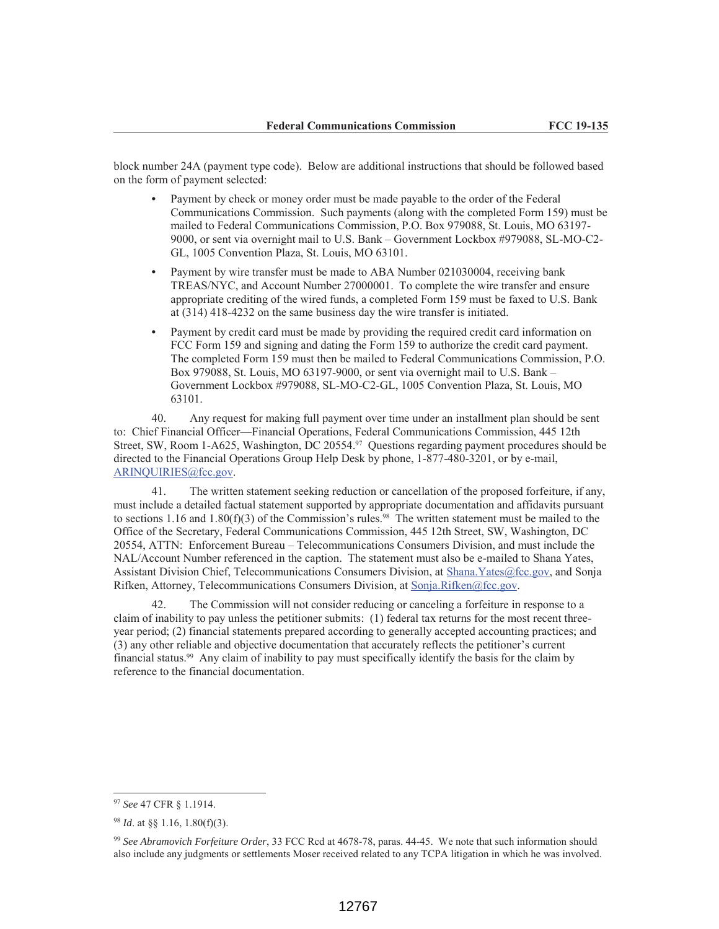block number 24A (payment type code). Below are additional instructions that should be followed based on the form of payment selected:

- **•** Payment by check or money order must be made payable to the order of the Federal Communications Commission. Such payments (along with the completed Form 159) must be mailed to Federal Communications Commission, P.O. Box 979088, St. Louis, MO 63197- 9000, or sent via overnight mail to U.S. Bank – Government Lockbox #979088, SL-MO-C2- GL, 1005 Convention Plaza, St. Louis, MO 63101.
- **•** Payment by wire transfer must be made to ABA Number 021030004, receiving bank TREAS/NYC, and Account Number 27000001. To complete the wire transfer and ensure appropriate crediting of the wired funds, a completed Form 159 must be faxed to U.S. Bank at (314) 418-4232 on the same business day the wire transfer is initiated.
- **•** Payment by credit card must be made by providing the required credit card information on FCC Form 159 and signing and dating the Form 159 to authorize the credit card payment. The completed Form 159 must then be mailed to Federal Communications Commission, P.O. Box 979088, St. Louis, MO 63197-9000, or sent via overnight mail to U.S. Bank – Government Lockbox #979088, SL-MO-C2-GL, 1005 Convention Plaza, St. Louis, MO 63101.

40. Any request for making full payment over time under an installment plan should be sent to: Chief Financial Officer—Financial Operations, Federal Communications Commission, 445 12th Street, SW, Room 1-A625, Washington, DC 20554.<sup>97</sup> Questions regarding payment procedures should be directed to the Financial Operations Group Help Desk by phone, 1-877-480-3201, or by e-mail, ARINQUIRIES@fcc.gov.

41. The written statement seeking reduction or cancellation of the proposed forfeiture, if any, must include a detailed factual statement supported by appropriate documentation and affidavits pursuant to sections 1.16 and 1.80(f)(3) of the Commission's rules.<sup>98</sup> The written statement must be mailed to the Office of the Secretary, Federal Communications Commission, 445 12th Street, SW, Washington, DC 20554, ATTN: Enforcement Bureau – Telecommunications Consumers Division, and must include the NAL/Account Number referenced in the caption. The statement must also be e-mailed to Shana Yates, Assistant Division Chief, Telecommunications Consumers Division, at Shana.Yates@fcc.gov, and Sonja Rifken, Attorney, Telecommunications Consumers Division, at Sonja.Rifken@fcc.gov.

42. The Commission will not consider reducing or canceling a forfeiture in response to a claim of inability to pay unless the petitioner submits: (1) federal tax returns for the most recent threeyear period; (2) financial statements prepared according to generally accepted accounting practices; and (3) any other reliable and objective documentation that accurately reflects the petitioner's current financial status.99 Any claim of inability to pay must specifically identify the basis for the claim by reference to the financial documentation.

 $\overline{a}$ 

<sup>97</sup> *See* 47 CFR § 1.1914.

<sup>98</sup> *Id*. at §§ 1.16, 1.80(f)(3).

<sup>99</sup> *See Abramovich Forfeiture Order*, 33 FCC Rcd at 4678-78, paras. 44-45. We note that such information should also include any judgments or settlements Moser received related to any TCPA litigation in which he was involved.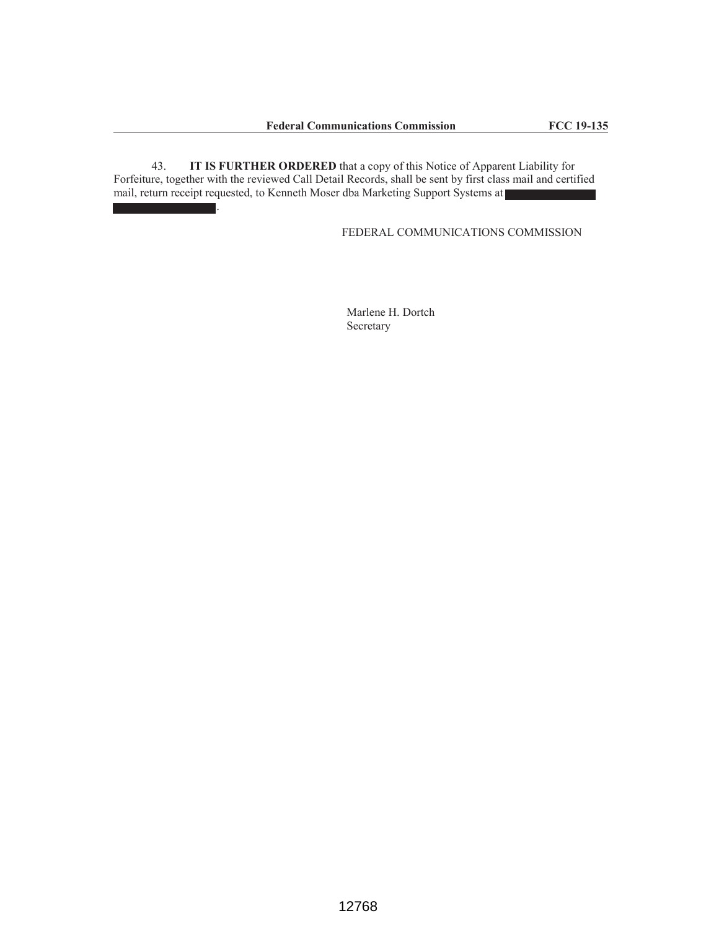43. **IT IS FURTHER ORDERED** that a copy of this Notice of Apparent Liability for Forfeiture, together with the reviewed Call Detail Records, shall be sent by first class mail and certified mail, return receipt requested, to Kenneth Moser dba Marketing Support Systems at .

FEDERAL COMMUNICATIONS COMMISSION

Marlene H. Dortch Secretary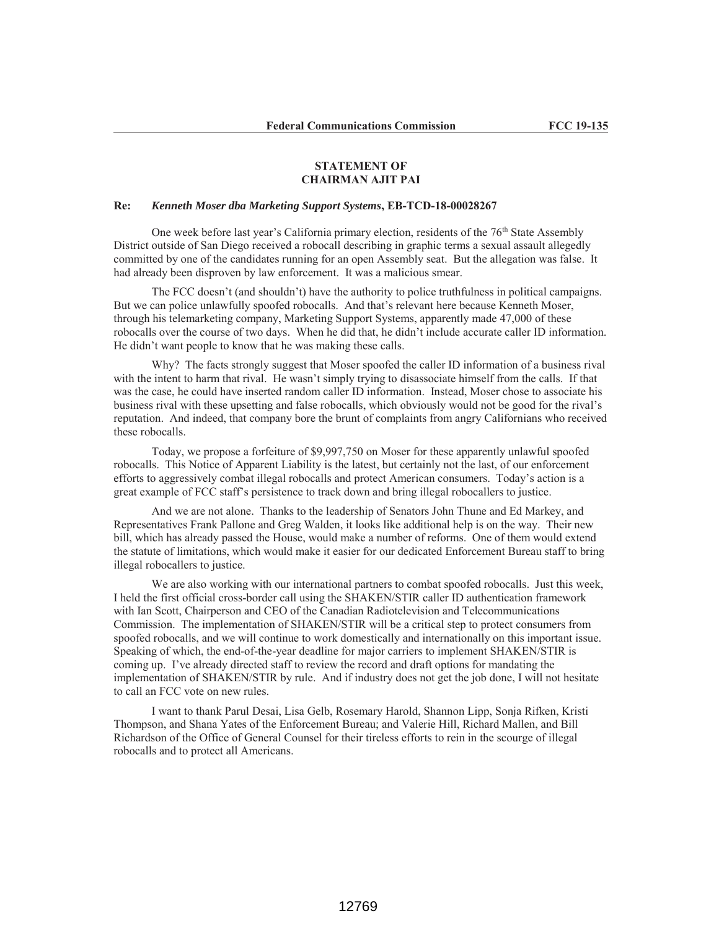## **STATEMENT OF CHAIRMAN AJIT PAI**

## **Re:** *Kenneth Moser dba Marketing Support Systems***, EB-TCD-18-00028267**

One week before last year's California primary election, residents of the  $76<sup>th</sup>$  State Assembly District outside of San Diego received a robocall describing in graphic terms a sexual assault allegedly committed by one of the candidates running for an open Assembly seat. But the allegation was false. It had already been disproven by law enforcement. It was a malicious smear.

The FCC doesn't (and shouldn't) have the authority to police truthfulness in political campaigns. But we can police unlawfully spoofed robocalls. And that's relevant here because Kenneth Moser, through his telemarketing company, Marketing Support Systems, apparently made 47,000 of these robocalls over the course of two days. When he did that, he didn't include accurate caller ID information. He didn't want people to know that he was making these calls.

Why? The facts strongly suggest that Moser spoofed the caller ID information of a business rival with the intent to harm that rival. He wasn't simply trying to disassociate himself from the calls. If that was the case, he could have inserted random caller ID information. Instead, Moser chose to associate his business rival with these upsetting and false robocalls, which obviously would not be good for the rival's reputation. And indeed, that company bore the brunt of complaints from angry Californians who received these robocalls.

Today, we propose a forfeiture of \$9,997,750 on Moser for these apparently unlawful spoofed robocalls. This Notice of Apparent Liability is the latest, but certainly not the last, of our enforcement efforts to aggressively combat illegal robocalls and protect American consumers. Today's action is a great example of FCC staff's persistence to track down and bring illegal robocallers to justice.

And we are not alone. Thanks to the leadership of Senators John Thune and Ed Markey, and Representatives Frank Pallone and Greg Walden, it looks like additional help is on the way. Their new bill, which has already passed the House, would make a number of reforms. One of them would extend the statute of limitations, which would make it easier for our dedicated Enforcement Bureau staff to bring illegal robocallers to justice.

We are also working with our international partners to combat spoofed robocalls. Just this week, I held the first official cross-border call using the SHAKEN/STIR caller ID authentication framework with Ian Scott, Chairperson and CEO of the Canadian Radiotelevision and Telecommunications Commission. The implementation of SHAKEN/STIR will be a critical step to protect consumers from spoofed robocalls, and we will continue to work domestically and internationally on this important issue. Speaking of which, the end-of-the-year deadline for major carriers to implement SHAKEN/STIR is coming up. I've already directed staff to review the record and draft options for mandating the implementation of SHAKEN/STIR by rule. And if industry does not get the job done, I will not hesitate to call an FCC vote on new rules.

I want to thank Parul Desai, Lisa Gelb, Rosemary Harold, Shannon Lipp, Sonja Rifken, Kristi Thompson, and Shana Yates of the Enforcement Bureau; and Valerie Hill, Richard Mallen, and Bill Richardson of the Office of General Counsel for their tireless efforts to rein in the scourge of illegal robocalls and to protect all Americans.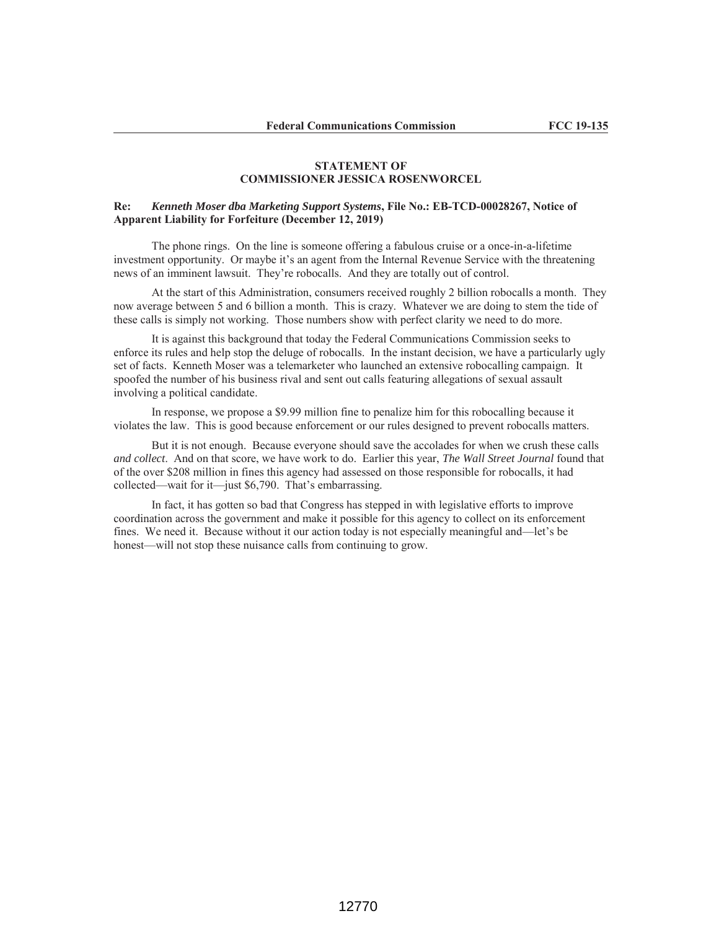## **STATEMENT OF COMMISSIONER JESSICA ROSENWORCEL**

## **Re:** *Kenneth Moser dba Marketing Support Systems***, File No.: EB-TCD-00028267, Notice of Apparent Liability for Forfeiture (December 12, 2019)**

The phone rings. On the line is someone offering a fabulous cruise or a once-in-a-lifetime investment opportunity. Or maybe it's an agent from the Internal Revenue Service with the threatening news of an imminent lawsuit. They're robocalls. And they are totally out of control.

At the start of this Administration, consumers received roughly 2 billion robocalls a month. They now average between 5 and 6 billion a month. This is crazy. Whatever we are doing to stem the tide of these calls is simply not working. Those numbers show with perfect clarity we need to do more.

It is against this background that today the Federal Communications Commission seeks to enforce its rules and help stop the deluge of robocalls. In the instant decision, we have a particularly ugly set of facts. Kenneth Moser was a telemarketer who launched an extensive robocalling campaign. It spoofed the number of his business rival and sent out calls featuring allegations of sexual assault involving a political candidate.

In response, we propose a \$9.99 million fine to penalize him for this robocalling because it violates the law. This is good because enforcement or our rules designed to prevent robocalls matters.

But it is not enough. Because everyone should save the accolades for when we crush these calls *and collect*. And on that score, we have work to do. Earlier this year, *The Wall Street Journal* found that of the over \$208 million in fines this agency had assessed on those responsible for robocalls, it had collected—wait for it—just \$6,790. That's embarrassing.

In fact, it has gotten so bad that Congress has stepped in with legislative efforts to improve coordination across the government and make it possible for this agency to collect on its enforcement fines. We need it. Because without it our action today is not especially meaningful and—let's be honest—will not stop these nuisance calls from continuing to grow.